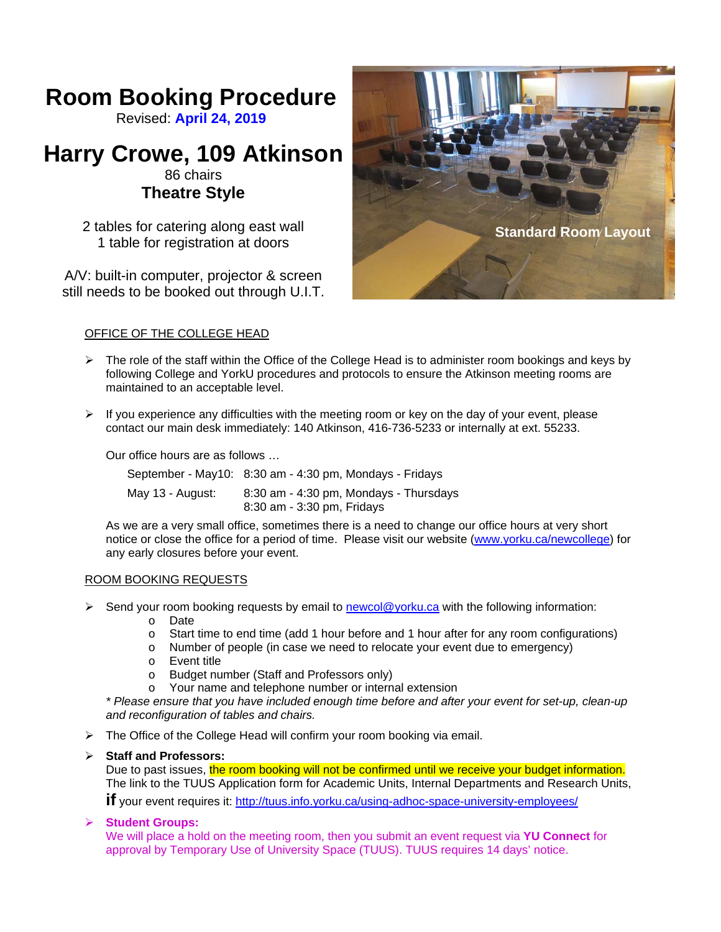# **Room Booking Procedure**

Revised: **April 24, 2019**

# **Harry Crowe, 109 Atkinson**

# 86 chairs **Theatre Style**

2 tables for catering along east wall 1 table for registration at doors

A/V: built-in computer, projector & screen still needs to be booked out through U.I.T.



# OFFICE OF THE COLLEGE HEAD

- $\triangleright$  The role of the staff within the Office of the College Head is to administer room bookings and keys by following College and YorkU procedures and protocols to ensure the Atkinson meeting rooms are maintained to an acceptable level.
- $\triangleright$  If you experience any difficulties with the meeting room or key on the day of your event, please contact our main desk immediately: 140 Atkinson, 416-736-5233 or internally at ext. 55233.

Our office hours are as follows …

|                  | September - May10: 8:30 am - 4:30 pm, Mondays - Fridays              |
|------------------|----------------------------------------------------------------------|
| May 13 - August: | 8:30 am - 4:30 pm, Mondays - Thursdays<br>8:30 am - 3:30 pm, Fridays |

As we are a very small office, sometimes there is a need to change our office hours at very short notice or close the office for a period of time. Please visit our website (www.yorku.ca/newcollege) for any early closures before your event.

## ROOM BOOKING REQUESTS

- $\triangleright$  Send your room booking requests by email to newcol@yorku.ca with the following information:
	- o Date
	- o Start time to end time (add 1 hour before and 1 hour after for any room configurations)
	- o Number of people (in case we need to relocate your event due to emergency)
	- o Event title
	- o Budget number (Staff and Professors only)
	- o Your name and telephone number or internal extension

*\* Please ensure that you have included enough time before and after your event for set-up, clean-up and reconfiguration of tables and chairs.*

 $\triangleright$  The Office of the College Head will confirm your room booking via email.

## **Staff and Professors:**

Due to past issues, the room booking will not be confirmed until we receive your budget information. The link to the TUUS Application form for Academic Units, Internal Departments and Research Units, **if** your event requires it: http://tuus.info.yorku.ca/using-adhoc-space-university-employees/

## **Student Groups:**

We will place a hold on the meeting room, then you submit an event request via **YU Connect** for approval by Temporary Use of University Space (TUUS). TUUS requires 14 days' notice.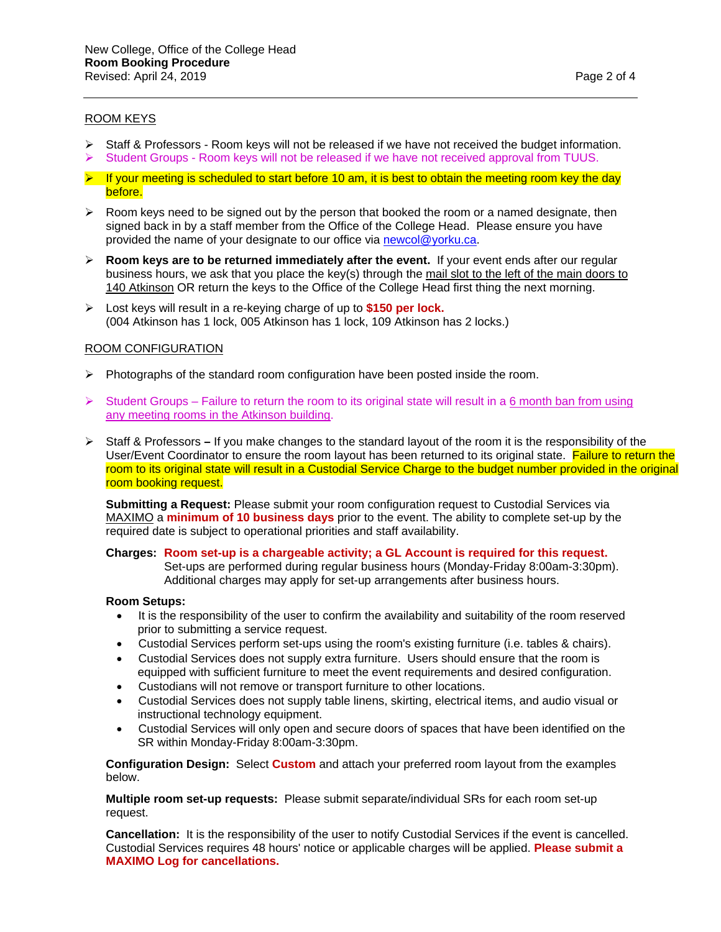#### ROOM KEYS

- $\triangleright$  Staff & Professors Room keys will not be released if we have not received the budget information.
- $\triangleright$  Student Groups Room keys will not be released if we have not received approval from TUUS.
- $\blacktriangleright$  If your meeting is scheduled to start before 10 am, it is best to obtain the meeting room key the day before.
- $\triangleright$  Room keys need to be signed out by the person that booked the room or a named designate, then signed back in by a staff member from the Office of the College Head. Please ensure you have provided the name of your designate to our office via newcol@yorku.ca.
- $\triangleright$  **Room keys are to be returned immediately after the event.** If your event ends after our regular business hours, we ask that you place the key(s) through the mail slot to the left of the main doors to 140 Atkinson OR return the keys to the Office of the College Head first thing the next morning.
- Lost keys will result in a re-keying charge of up to **\$150 per lock.** (004 Atkinson has 1 lock, 005 Atkinson has 1 lock, 109 Atkinson has 2 locks.)

#### ROOM CONFIGURATION

- $\triangleright$  Photographs of the standard room configuration have been posted inside the room.
- $\triangleright$  Student Groups Failure to return the room to its original state will result in a 6 month ban from using any meeting rooms in the Atkinson building.
- Staff & ProfessorsIf you make changes to the standard layout of the room it is the responsibility of the User/Event Coordinator to ensure the room layout has been returned to its original state. Failure to return the room to its original state will result in a Custodial Service Charge to the budget number provided in the original room booking request.

**Submitting a Request:** Please submit your room configuration request to Custodial Services via MAXIMO a **minimum of 10 business days** prior to the event. The ability to complete set-up by the required date is subject to operational priorities and staff availability.

## **Charges: Room set-up is a chargeable activity; a GL Account is required for this request.**

 Set-ups are performed during regular business hours (Monday-Friday 8:00am-3:30pm). Additional charges may apply for set-up arrangements after business hours.

#### **Room Setups:**

- It is the responsibility of the user to confirm the availability and suitability of the room reserved prior to submitting a service request.
- Custodial Services perform set-ups using the room's existing furniture (i.e. tables & chairs).
- Custodial Services does not supply extra furniture. Users should ensure that the room is equipped with sufficient furniture to meet the event requirements and desired configuration.
- Custodians will not remove or transport furniture to other locations.
- Custodial Services does not supply table linens, skirting, electrical items, and audio visual or instructional technology equipment.
- Custodial Services will only open and secure doors of spaces that have been identified on the SR within Monday-Friday 8:00am-3:30pm.

**Configuration Design:** Select **Custom** and attach your preferred room layout from the examples below.

**Multiple room set-up requests:** Please submit separate/individual SRs for each room set-up request.

**Cancellation:** It is the responsibility of the user to notify Custodial Services if the event is cancelled. Custodial Services requires 48 hours' notice or applicable charges will be applied. **Please submit a MAXIMO Log for cancellations.**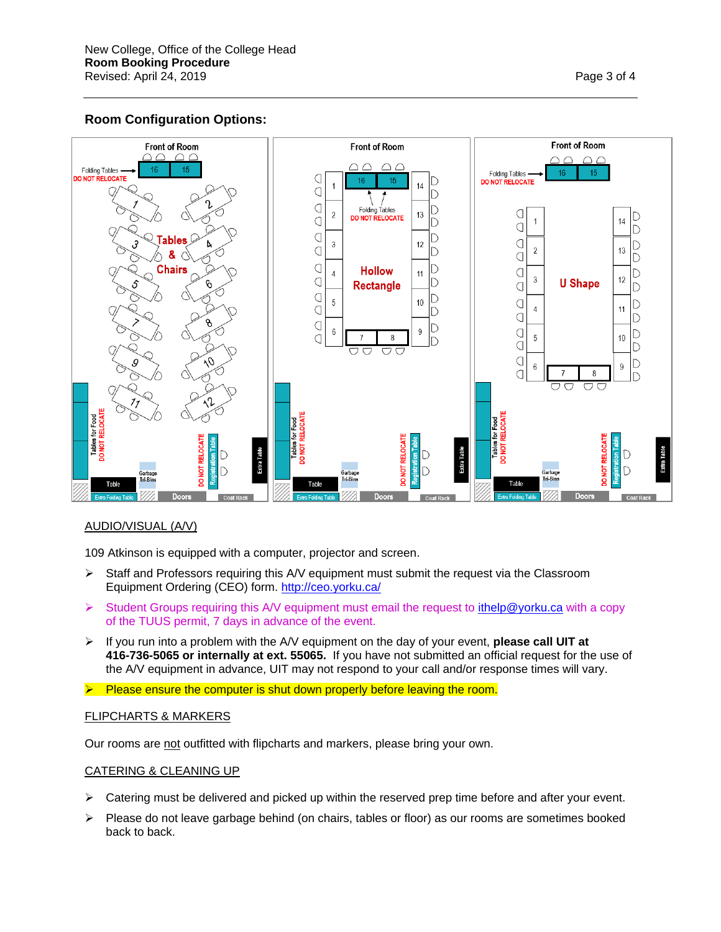# **Room Configuration Options:**



## AUDIO/VISUAL (A/V)

109 Atkinson is equipped with a computer, projector and screen.

- $\triangleright$  Staff and Professors requiring this A/V equipment must submit the request via the Classroom Equipment Ordering (CEO) form. http://ceo.yorku.ca/
- $\triangleright$  Student Groups requiring this A/V equipment must email the request to ithelp@yorku.ca with a copy of the TUUS permit, 7 days in advance of the event.
- If you run into a problem with the A/V equipment on the day of your event, **please call UIT at 416-736-5065 or internally at ext. 55065.** If you have not submitted an official request for the use of the A/V equipment in advance, UIT may not respond to your call and/or response times will vary.
- $\triangleright$  Please ensure the computer is shut down properly before leaving the room.

#### FLIPCHARTS & MARKERS

Our rooms are not outfitted with flipcharts and markers, please bring your own.

#### CATERING & CLEANING UP

- $\triangleright$  Catering must be delivered and picked up within the reserved prep time before and after your event.
- $\triangleright$  Please do not leave garbage behind (on chairs, tables or floor) as our rooms are sometimes booked back to back.